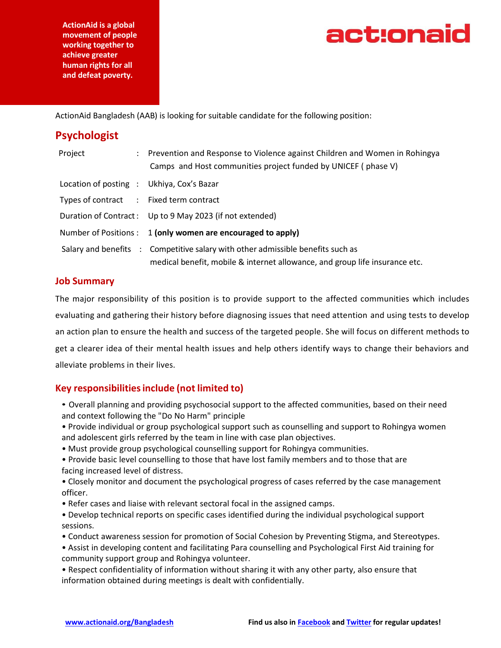**ActionAid is a global movement of people working together to achieve greater human rights for all and defeat poverty.**



ActionAid Bangladesh (AAB) is looking for suitable candidate for the following position:

| <b>Psychologist</b>                       |                                                                                                                                                                |
|-------------------------------------------|----------------------------------------------------------------------------------------------------------------------------------------------------------------|
| Project                                   | Prevention and Response to Violence against Children and Women in Rohingya<br>Camps and Host communities project funded by UNICEF (phase V)                    |
| Location of posting : Ukhiya, Cox's Bazar |                                                                                                                                                                |
| Types of contract : Fixed term contract   |                                                                                                                                                                |
|                                           | Duration of Contract: Up to 9 May 2023 (if not extended)                                                                                                       |
|                                           | Number of Positions : 1 (only women are encouraged to apply)                                                                                                   |
|                                           | Salary and benefits : Competitive salary with other admissible benefits such as<br>medical benefit, mobile & internet allowance, and group life insurance etc. |

## **Job Summary**

The major responsibility of this position is to provide support to the affected communities which includes evaluating and gathering their history before diagnosing issues that need attention and using tests to develop an action plan to ensure the health and success of the targeted people. She will focus on different methods to get a clearer idea of their mental health issues and help others identify ways to change their behaviors and alleviate problems in their lives.

# **Key responsibilitiesinclude (not limited to)**

- Overall planning and providing psychosocial support to the affected communities, based on their need and context following the "Do No Harm" principle
- Provide individual or group psychological support such as counselling and support to Rohingya women and adolescent girls referred by the team in line with case plan objectives.
- Must provide group psychological counselling support for Rohingya communities.
- Provide basic level counselling to those that have lost family members and to those that are facing increased level of distress.
- Closely monitor and document the psychological progress of cases referred by the case management officer.
- Refer cases and liaise with relevant sectoral focal in the assigned camps.
- Develop technical reports on specific cases identified during the individual psychological support sessions.
- Conduct awareness session for promotion of Social Cohesion by Preventing Stigma, and Stereotypes.
- Assist in developing content and facilitating Para counselling and Psychological First Aid training for community support group and Rohingya volunteer.
- Respect confidentiality of information without sharing it with any other party, also ensure that information obtained during meetings is dealt with confidentially.